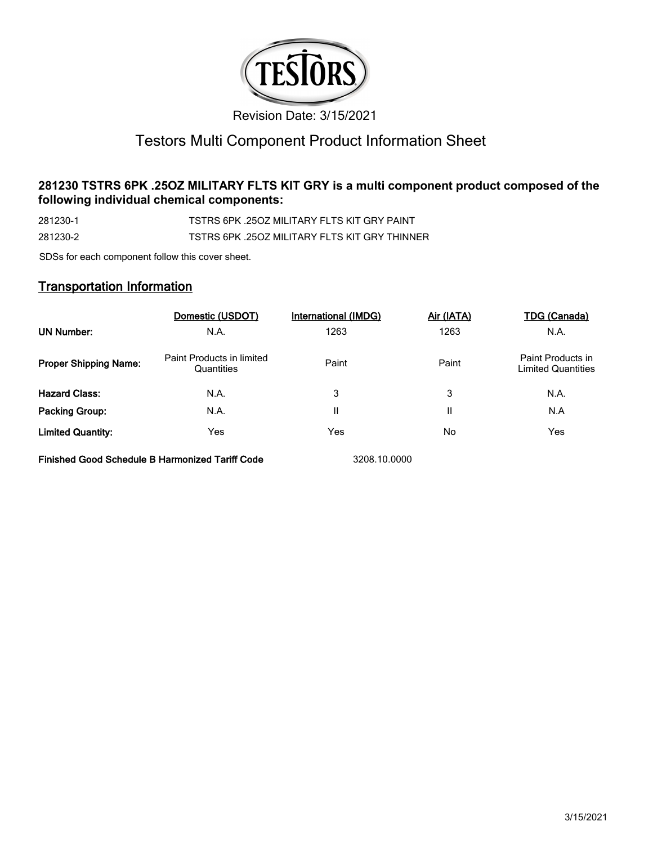

# Testors Multi Component Product Information Sheet

# **281230 TSTRS 6PK .25OZ MILITARY FLTS KIT GRY is a multi component product composed of the following individual chemical components:**

281230-1 TSTRS 6PK .25OZ MILITARY FLTS KIT GRY PAINT 281230-2 TSTRS 6PK .25OZ MILITARY FLTS KIT GRY THINNER

SDSs for each component follow this cover sheet.

# **Transportation Information**

|                              | Domestic (USDOT)                        | International (IMDG) | Air (IATA) | <b>TDG (Canada)</b>                            |
|------------------------------|-----------------------------------------|----------------------|------------|------------------------------------------------|
| UN Number:                   | N.A.                                    | 1263                 | 1263       | N.A.                                           |
| <b>Proper Shipping Name:</b> | Paint Products in limited<br>Quantities | Paint                | Paint      | Paint Products in<br><b>Limited Quantities</b> |
| <b>Hazard Class:</b>         | N.A.                                    | 3                    | 3          | N.A.                                           |
| <b>Packing Group:</b>        | N.A.                                    | Ш                    | Н          | N.A                                            |
| <b>Limited Quantity:</b>     | Yes                                     | Yes                  | No         | Yes                                            |

**Finished Good Schedule B Harmonized Tariff Code** 3208.10.0000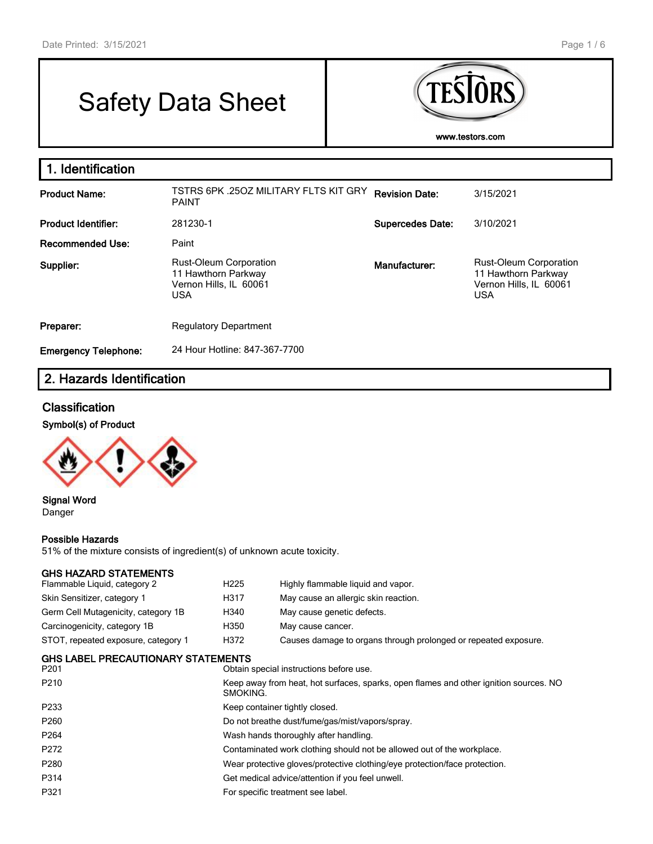г

# Safety Data Sheet



| 1. Identification           |                                                                                              |                         |                                                                                              |
|-----------------------------|----------------------------------------------------------------------------------------------|-------------------------|----------------------------------------------------------------------------------------------|
| <b>Product Name:</b>        | TSTRS 6PK .25OZ MILITARY FLTS KIT GRY<br><b>PAINT</b>                                        | <b>Revision Date:</b>   | 3/15/2021                                                                                    |
| <b>Product Identifier:</b>  | 281230-1                                                                                     | <b>Supercedes Date:</b> | 3/10/2021                                                                                    |
| Recommended Use:            | Paint                                                                                        |                         |                                                                                              |
| Supplier:                   | <b>Rust-Oleum Corporation</b><br>11 Hawthorn Parkway<br>Vernon Hills, IL 60061<br><b>USA</b> | Manufacturer:           | <b>Rust-Oleum Corporation</b><br>11 Hawthorn Parkway<br>Vernon Hills, IL 60061<br><b>USA</b> |
| Preparer:                   | <b>Regulatory Department</b>                                                                 |                         |                                                                                              |
| <b>Emergency Telephone:</b> | 24 Hour Hotline: 847-367-7700                                                                |                         |                                                                                              |

# **2. Hazards Identification**

#### **Classification**

## **Symbol(s) of Product**



**Signal Word** Danger

#### **Possible Hazards**

51% of the mixture consists of ingredient(s) of unknown acute toxicity.

## **GHS HAZARD STATEMENTS**

| GHS HAZARD STATEMENTS                             |                  |                                                                                                   |  |  |
|---------------------------------------------------|------------------|---------------------------------------------------------------------------------------------------|--|--|
| Flammable Liquid, category 2                      | H <sub>225</sub> | Highly flammable liquid and vapor.                                                                |  |  |
| Skin Sensitizer, category 1                       | H317             | May cause an allergic skin reaction.                                                              |  |  |
| Germ Cell Mutagenicity, category 1B               | H340             | May cause genetic defects.                                                                        |  |  |
| Carcinogenicity, category 1B                      | H350             | May cause cancer.                                                                                 |  |  |
| STOT, repeated exposure, category 1               | H372             | Causes damage to organs through prolonged or repeated exposure.                                   |  |  |
| <b>GHS LABEL PRECAUTIONARY STATEMENTS</b><br>P201 |                  | Obtain special instructions before use.                                                           |  |  |
| P210                                              |                  | Keep away from heat, hot surfaces, sparks, open flames and other ignition sources. NO<br>SMOKING. |  |  |
| P233                                              |                  | Keep container tightly closed.                                                                    |  |  |
| P260                                              |                  | Do not breathe dust/fume/gas/mist/vapors/spray.                                                   |  |  |
| P264                                              |                  | Wash hands thoroughly after handling.                                                             |  |  |
| P272                                              |                  | Contaminated work clothing should not be allowed out of the workplace.                            |  |  |
| P280                                              |                  | Wear protective gloves/protective clothing/eye protection/face protection.                        |  |  |
| P314                                              |                  | Get medical advice/attention if you feel unwell.                                                  |  |  |

P321 **For specific treatment see label.**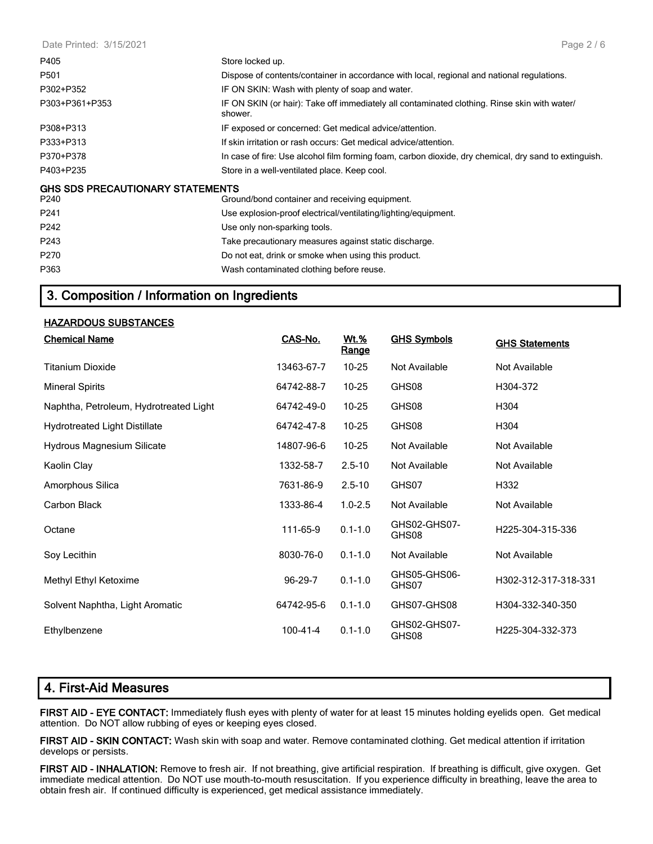Date Printed: 3/15/2021

| P405                                            | Store locked up.                                                                                        |
|-------------------------------------------------|---------------------------------------------------------------------------------------------------------|
| P <sub>501</sub>                                | Dispose of contents/container in accordance with local, regional and national regulations.              |
| P302+P352                                       | IF ON SKIN: Wash with plenty of soap and water.                                                         |
| P303+P361+P353                                  | IF ON SKIN (or hair): Take off immediately all contaminated clothing. Rinse skin with water/<br>shower. |
| P308+P313                                       | IF exposed or concerned: Get medical advice/attention.                                                  |
| P333+P313                                       | If skin irritation or rash occurs: Get medical advice/attention.                                        |
| P370+P378                                       | In case of fire: Use alcohol film forming foam, carbon dioxide, dry chemical, dry sand to extinguish.   |
| P403+P235                                       | Store in a well-ventilated place. Keep cool.                                                            |
| <b>GHS SDS PRECAUTIONARY STATEMENTS</b><br>P240 | Ground/bond container and receiving equipment.                                                          |
| P <sub>241</sub>                                | Use explosion-proof electrical/ventilating/lighting/equipment.                                          |
| P242                                            | Use only non-sparking tools.                                                                            |
| P243                                            | Take precautionary measures against static discharge.                                                   |
| P270                                            | Do not eat, drink or smoke when using this product.                                                     |
| P363                                            | Wash contaminated clothing before reuse.                                                                |

# **3. Composition / Information on Ingredients**

#### **HAZARDOUS SUBSTANCES**

| <b>Chemical Name</b>                   | CAS-No.        | <b>Wt.%</b><br>Range | <b>GHS Symbols</b>    | <b>GHS Statements</b> |
|----------------------------------------|----------------|----------------------|-----------------------|-----------------------|
| <b>Titanium Dioxide</b>                | 13463-67-7     | $10 - 25$            | Not Available         | Not Available         |
| <b>Mineral Spirits</b>                 | 64742-88-7     | $10 - 25$            | GHS08                 | H304-372              |
| Naphtha, Petroleum, Hydrotreated Light | 64742-49-0     | $10 - 25$            | GHS08                 | H304                  |
| <b>Hydrotreated Light Distillate</b>   | 64742-47-8     | $10 - 25$            | GHS08                 | H304                  |
| Hydrous Magnesium Silicate             | 14807-96-6     | $10 - 25$            | Not Available         | Not Available         |
| Kaolin Clay                            | 1332-58-7      | $2.5 - 10$           | Not Available         | Not Available         |
| Amorphous Silica                       | 7631-86-9      | $2.5 - 10$           | GHS07                 | H332                  |
| Carbon Black                           | 1333-86-4      | $1.0 - 2.5$          | Not Available         | Not Available         |
| Octane                                 | 111-65-9       | $0.1 - 1.0$          | GHS02-GHS07-<br>GHS08 | H225-304-315-336      |
| Soy Lecithin                           | 8030-76-0      | $0.1 - 1.0$          | Not Available         | Not Available         |
| Methyl Ethyl Ketoxime                  | 96-29-7        | $0.1 - 1.0$          | GHS05-GHS06-<br>GHS07 | H302-312-317-318-331  |
| Solvent Naphtha, Light Aromatic        | 64742-95-6     | $0.1 - 1.0$          | GHS07-GHS08           | H304-332-340-350      |
| Ethylbenzene                           | $100 - 41 - 4$ | $0.1 - 1.0$          | GHS02-GHS07-<br>GHS08 | H225-304-332-373      |

| 4. First-Aid Measures |  |  |
|-----------------------|--|--|
|                       |  |  |

**FIRST AID - EYE CONTACT:** Immediately flush eyes with plenty of water for at least 15 minutes holding eyelids open. Get medical attention. Do NOT allow rubbing of eyes or keeping eyes closed.

**FIRST AID - SKIN CONTACT:** Wash skin with soap and water. Remove contaminated clothing. Get medical attention if irritation develops or persists.

**FIRST AID - INHALATION:** Remove to fresh air. If not breathing, give artificial respiration. If breathing is difficult, give oxygen. Get immediate medical attention. Do NOT use mouth-to-mouth resuscitation. If you experience difficulty in breathing, leave the area to obtain fresh air. If continued difficulty is experienced, get medical assistance immediately.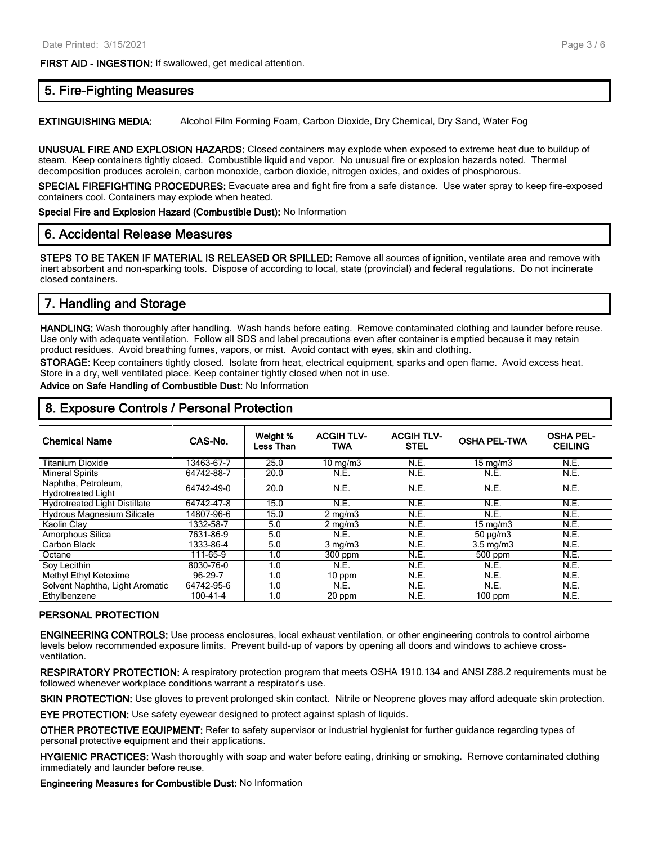**FIRST AID - INGESTION:** If swallowed, get medical attention.

#### **5. Fire-Fighting Measures**

**EXTINGUISHING MEDIA:** Alcohol Film Forming Foam, Carbon Dioxide, Dry Chemical, Dry Sand, Water Fog

**UNUSUAL FIRE AND EXPLOSION HAZARDS:** Closed containers may explode when exposed to extreme heat due to buildup of steam. Keep containers tightly closed. Combustible liquid and vapor. No unusual fire or explosion hazards noted. Thermal decomposition produces acrolein, carbon monoxide, carbon dioxide, nitrogen oxides, and oxides of phosphorous.

**SPECIAL FIREFIGHTING PROCEDURES:** Evacuate area and fight fire from a safe distance. Use water spray to keep fire-exposed containers cool. Containers may explode when heated.

**Special Fire and Explosion Hazard (Combustible Dust):** No Information

#### **6. Accidental Release Measures**

**STEPS TO BE TAKEN IF MATERIAL IS RELEASED OR SPILLED:** Remove all sources of ignition, ventilate area and remove with inert absorbent and non-sparking tools. Dispose of according to local, state (provincial) and federal regulations. Do not incinerate closed containers.

#### **7. Handling and Storage**

**HANDLING:** Wash thoroughly after handling. Wash hands before eating. Remove contaminated clothing and launder before reuse. Use only with adequate ventilation. Follow all SDS and label precautions even after container is emptied because it may retain product residues. Avoid breathing fumes, vapors, or mist. Avoid contact with eyes, skin and clothing.

**STORAGE:** Keep containers tightly closed. Isolate from heat, electrical equipment, sparks and open flame. Avoid excess heat. Store in a dry, well ventilated place. Keep container tightly closed when not in use.

**Advice on Safe Handling of Combustible Dust:** No Information

| <b>Chemical Name</b>                             | CAS-No.    | Weight %<br>Less Than | <b>ACGIHTLV-</b><br>TWA | <b>ACGIH TLV-</b><br><b>STEL</b> | <b>OSHA PEL-TWA</b> | <b>OSHA PEL-</b><br><b>CEILING</b> |
|--------------------------------------------------|------------|-----------------------|-------------------------|----------------------------------|---------------------|------------------------------------|
| <b>Titanium Dioxide</b>                          | 3463-67-7  | 25.0                  | $10 \text{ mg/m}$       | N.E.                             | $15 \text{ mg/m}$   | N.E.                               |
| <b>Mineral Spirits</b>                           | 64742-88-7 | 20.0                  | N.E.                    | N.E.                             | N.E.                | N.E.                               |
| Naphtha, Petroleum,<br><b>Hydrotreated Light</b> | 64742-49-0 | 20.0                  | N.E.                    | N.E.                             | N.E.                | N.E.                               |
| <b>Hydrotreated Light Distillate</b>             | 64742-47-8 | 15.0                  | N.E.                    | N.E.                             | N.E.                | N.E.                               |
| <b>Hydrous Magnesium Silicate</b>                | 14807-96-6 | 15.0                  | $2 \text{ mg/m}$        | N.E.                             | N.E.                | N.E.                               |
| Kaolin Clav                                      | 1332-58-7  | 5.0                   | $2 \text{ mg/m}$        | N.E.                             | $15 \text{ mg/m}$   | N.E.                               |
| Amorphous Silica                                 | 7631-86-9  | 5.0                   | N.E.                    | N.E.                             | $50 \mu g/m3$       | N.E.                               |
| Carbon Black                                     | 1333-86-4  | 5.0                   | $3 \text{ mg/m}$        | N.E.                             | $3.5 \text{ mg/m}$  | N.E.                               |
| Octane                                           | 111-65-9   | 1.0                   | 300 ppm                 | N.E.                             | 500 ppm             | N.E.                               |
| Soy Lecithin                                     | 8030-76-0  | 1.0                   | N.E.                    | N.E.                             | N.E.                | N.E.                               |
| <b>Methyl Ethyl Ketoxime</b>                     | 96-29-7    | 1.0                   | 10 ppm                  | N.E.                             | N.E.                | N.E.                               |
| Solvent Naphtha, Light Aromatic                  | 64742-95-6 | 1.0                   | N.E.                    | N.E.                             | N.E.                | N.E.                               |
| Ethylbenzene                                     | 100-41-4   | 1.0                   | 20 ppm                  | N.E.                             | $100$ ppm           | N.E.                               |

#### **8. Exposure Controls / Personal Protection**

#### **PERSONAL PROTECTION**

**ENGINEERING CONTROLS:** Use process enclosures, local exhaust ventilation, or other engineering controls to control airborne levels below recommended exposure limits. Prevent build-up of vapors by opening all doors and windows to achieve crossventilation.

**RESPIRATORY PROTECTION:** A respiratory protection program that meets OSHA 1910.134 and ANSI Z88.2 requirements must be followed whenever workplace conditions warrant a respirator's use.

**SKIN PROTECTION:** Use gloves to prevent prolonged skin contact. Nitrile or Neoprene gloves may afford adequate skin protection.

**EYE PROTECTION:** Use safety eyewear designed to protect against splash of liquids.

**OTHER PROTECTIVE EQUIPMENT:** Refer to safety supervisor or industrial hygienist for further guidance regarding types of personal protective equipment and their applications.

**HYGIENIC PRACTICES:** Wash thoroughly with soap and water before eating, drinking or smoking. Remove contaminated clothing immediately and launder before reuse.

**Engineering Measures for Combustible Dust:** No Information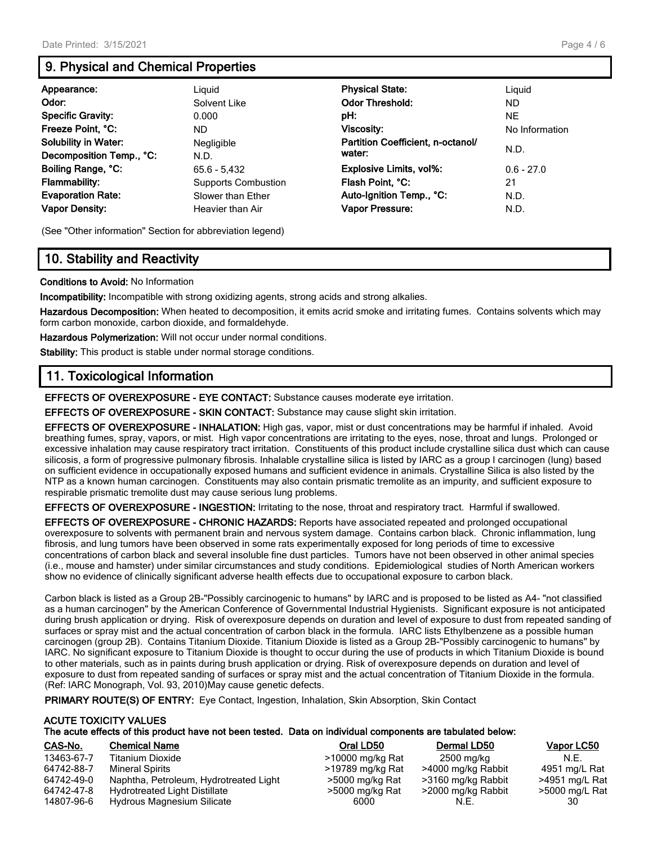# **9. Physical and Chemical Properties**

| Appearance:                 | Liguid                     | <b>Physical State:</b>            | Liguid         |
|-----------------------------|----------------------------|-----------------------------------|----------------|
| Odor:                       | Solvent Like               | <b>Odor Threshold:</b>            | ND.            |
| <b>Specific Gravity:</b>    | 0.000                      | pH:                               | <b>NE</b>      |
| Freeze Point, °C:           | ND.                        | <b>Viscosity:</b>                 | No Information |
| <b>Solubility in Water:</b> | Negligible                 | Partition Coefficient, n-octanol/ |                |
| Decomposition Temp., °C:    | N.D.                       | water:                            | N.D.           |
| Boiling Range, °C:          | $65.6 - 5.432$             | <b>Explosive Limits, vol%:</b>    | $0.6 - 27.0$   |
| <b>Flammability:</b>        | <b>Supports Combustion</b> | Flash Point. °C:                  | 21             |
| <b>Evaporation Rate:</b>    | Slower than Ether          | Auto-Ignition Temp., °C:          | N.D.           |
| <b>Vapor Density:</b>       | Heavier than Air           | Vapor Pressure:                   | N.D.           |

(See "Other information" Section for abbreviation legend)

# **10. Stability and Reactivity**

**Conditions to Avoid:** No Information

**Incompatibility:** Incompatible with strong oxidizing agents, strong acids and strong alkalies.

**Hazardous Decomposition:** When heated to decomposition, it emits acrid smoke and irritating fumes. Contains solvents which may form carbon monoxide, carbon dioxide, and formaldehyde.

**Hazardous Polymerization:** Will not occur under normal conditions.

**Stability:** This product is stable under normal storage conditions.

## **11. Toxicological Information**

**EFFECTS OF OVEREXPOSURE - EYE CONTACT:** Substance causes moderate eye irritation.

**EFFECTS OF OVEREXPOSURE - SKIN CONTACT:** Substance may cause slight skin irritation.

**EFFECTS OF OVEREXPOSURE - INHALATION:** High gas, vapor, mist or dust concentrations may be harmful if inhaled. Avoid breathing fumes, spray, vapors, or mist. High vapor concentrations are irritating to the eyes, nose, throat and lungs. Prolonged or excessive inhalation may cause respiratory tract irritation. Constituents of this product include crystalline silica dust which can cause silicosis, a form of progressive pulmonary fibrosis. Inhalable crystalline silica is listed by IARC as a group I carcinogen (lung) based on sufficient evidence in occupationally exposed humans and sufficient evidence in animals. Crystalline Silica is also listed by the NTP as a known human carcinogen. Constituents may also contain prismatic tremolite as an impurity, and sufficient exposure to respirable prismatic tremolite dust may cause serious lung problems.

**EFFECTS OF OVEREXPOSURE - INGESTION:** Irritating to the nose, throat and respiratory tract. Harmful if swallowed.

**EFFECTS OF OVEREXPOSURE - CHRONIC HAZARDS:** Reports have associated repeated and prolonged occupational overexposure to solvents with permanent brain and nervous system damage. Contains carbon black. Chronic inflammation, lung fibrosis, and lung tumors have been observed in some rats experimentally exposed for long periods of time to excessive concentrations of carbon black and several insoluble fine dust particles. Tumors have not been observed in other animal species (i.e., mouse and hamster) under similar circumstances and study conditions. Epidemiological studies of North American workers show no evidence of clinically significant adverse health effects due to occupational exposure to carbon black.

Carbon black is listed as a Group 2B-"Possibly carcinogenic to humans" by IARC and is proposed to be listed as A4- "not classified as a human carcinogen" by the American Conference of Governmental Industrial Hygienists. Significant exposure is not anticipated during brush application or drying. Risk of overexposure depends on duration and level of exposure to dust from repeated sanding of surfaces or spray mist and the actual concentration of carbon black in the formula. IARC lists Ethylbenzene as a possible human carcinogen (group 2B). Contains Titanium Dioxide. Titanium Dioxide is listed as a Group 2B-"Possibly carcinogenic to humans" by IARC. No significant exposure to Titanium Dioxide is thought to occur during the use of products in which Titanium Dioxide is bound to other materials, such as in paints during brush application or drying. Risk of overexposure depends on duration and level of exposure to dust from repeated sanding of surfaces or spray mist and the actual concentration of Titanium Dioxide in the formula. (Ref: IARC Monograph, Vol. 93, 2010)May cause genetic defects.

**PRIMARY ROUTE(S) OF ENTRY:** Eye Contact, Ingestion, Inhalation, Skin Absorption, Skin Contact

| <b>ACUTE TOXICITY VALUES</b>                                                                               |  |
|------------------------------------------------------------------------------------------------------------|--|
| The acute effects of this product have not been tested. Data on individual components are tabulated below: |  |

| CAS-No.    | <b>Chemical Name</b>                   | Oral LD50        | Dermal LD50        | <b>Vapor LC50</b> |
|------------|----------------------------------------|------------------|--------------------|-------------------|
| 13463-67-7 | <b>Titanium Dioxide</b>                | >10000 mg/kg Rat | 2500 mg/kg         | N.E.              |
| 64742-88-7 | Mineral Spirits                        | >19789 mg/kg Rat | >4000 mg/kg Rabbit | 4951 mg/L Rat     |
| 64742-49-0 | Naphtha, Petroleum, Hydrotreated Light | >5000 mg/kg Rat  | >3160 mg/kg Rabbit | >4951 mg/L Rat    |
| 64742-47-8 | <b>Hydrotreated Light Distillate</b>   | >5000 mg/kg Rat  | >2000 mg/kg Rabbit | >5000 mg/L Rat    |
| 14807-96-6 | Hydrous Magnesium Silicate             | 6000             | N.E.               | 30                |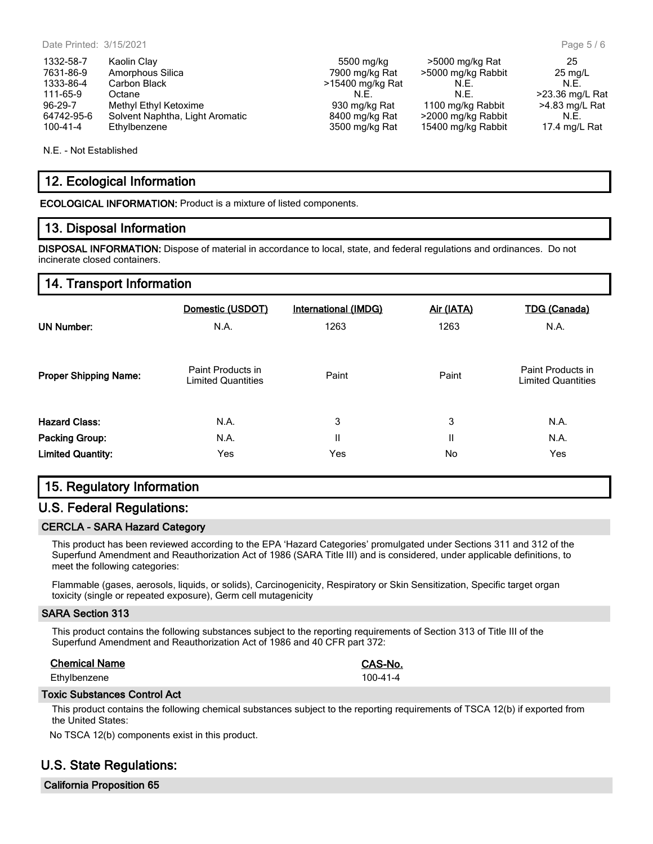N.E. - Not Established

## **12. Ecological Information**

**ECOLOGICAL INFORMATION:** Product is a mixture of listed components.

#### **13. Disposal Information**

**DISPOSAL INFORMATION:** Dispose of material in accordance to local, state, and federal regulations and ordinances. Do not incinerate closed containers.

#### **14. Transport Information**

|                              | Domestic (USDOT)                               | <b>International (IMDG)</b> | Air (IATA) | <b>TDG (Canada)</b>                            |
|------------------------------|------------------------------------------------|-----------------------------|------------|------------------------------------------------|
| <b>UN Number:</b>            | N.A.                                           | 1263                        | 1263       | N.A.                                           |
| <b>Proper Shipping Name:</b> | Paint Products in<br><b>Limited Quantities</b> | Paint                       | Paint      | Paint Products in<br><b>Limited Quantities</b> |
| <b>Hazard Class:</b>         | N.A.                                           | 3                           | 3          | N.A.                                           |
| <b>Packing Group:</b>        | N.A.                                           | Ш                           | Ш          | N.A.                                           |
| <b>Limited Quantity:</b>     | Yes                                            | Yes                         | No         | Yes                                            |

#### **15. Regulatory Information**

#### **U.S. Federal Regulations:**

#### **CERCLA - SARA Hazard Category**

This product has been reviewed according to the EPA 'Hazard Categories' promulgated under Sections 311 and 312 of the Superfund Amendment and Reauthorization Act of 1986 (SARA Title III) and is considered, under applicable definitions, to meet the following categories:

Flammable (gases, aerosols, liquids, or solids), Carcinogenicity, Respiratory or Skin Sensitization, Specific target organ toxicity (single or repeated exposure), Germ cell mutagenicity

#### **SARA Section 313**

This product contains the following substances subject to the reporting requirements of Section 313 of Title III of the Superfund Amendment and Reauthorization Act of 1986 and 40 CFR part 372:

#### **Chemical Name CAS-No.**

Ethylbenzene 100-41-4

#### **Toxic Substances Control Act**

This product contains the following chemical substances subject to the reporting requirements of TSCA 12(b) if exported from the United States:

No TSCA 12(b) components exist in this product.

# **U.S. State Regulations:**

**California Proposition 65**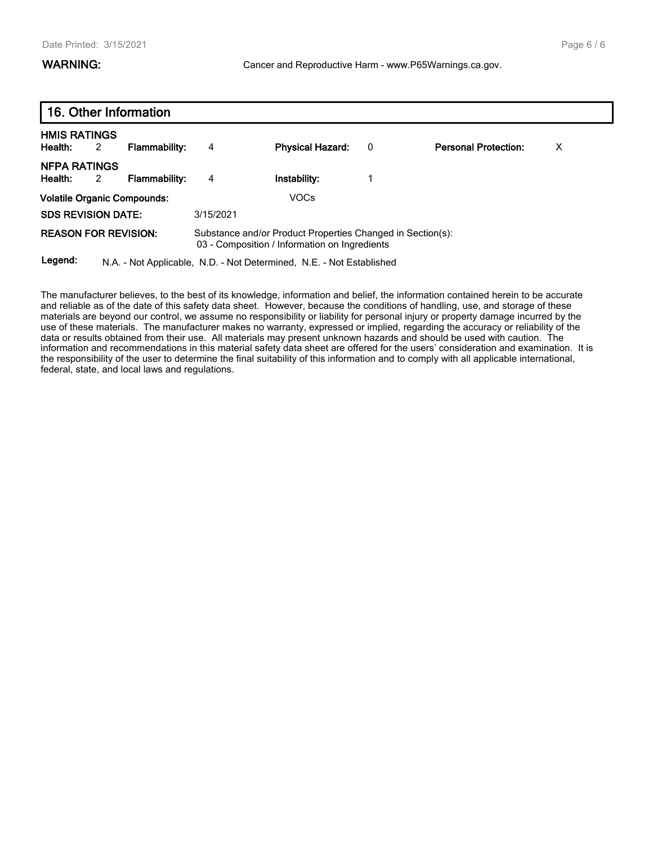|                                    | 16. Other Information |                      |           |                                                                                                             |   |                             |   |  |
|------------------------------------|-----------------------|----------------------|-----------|-------------------------------------------------------------------------------------------------------------|---|-----------------------------|---|--|
| <b>HMIS RATINGS</b><br>Health:     | 2                     | <b>Flammability:</b> | 4         | <b>Physical Hazard:</b>                                                                                     | 0 | <b>Personal Protection:</b> | X |  |
| <b>NFPA RATINGS</b><br>Health:     | 2                     | <b>Flammability:</b> | 4         | Instability:                                                                                                |   |                             |   |  |
| <b>Volatile Organic Compounds:</b> |                       |                      |           | VOCs                                                                                                        |   |                             |   |  |
| <b>SDS REVISION DATE:</b>          |                       |                      | 3/15/2021 |                                                                                                             |   |                             |   |  |
| <b>REASON FOR REVISION:</b>        |                       |                      |           | Substance and/or Product Properties Changed in Section(s):<br>03 - Composition / Information on Ingredients |   |                             |   |  |
| Legend:                            |                       |                      |           | N.A. - Not Applicable, N.D. - Not Determined, N.E. - Not Established                                        |   |                             |   |  |

The manufacturer believes, to the best of its knowledge, information and belief, the information contained herein to be accurate and reliable as of the date of this safety data sheet. However, because the conditions of handling, use, and storage of these materials are beyond our control, we assume no responsibility or liability for personal injury or property damage incurred by the use of these materials. The manufacturer makes no warranty, expressed or implied, regarding the accuracy or reliability of the data or results obtained from their use. All materials may present unknown hazards and should be used with caution. The information and recommendations in this material safety data sheet are offered for the users' consideration and examination. It is the responsibility of the user to determine the final suitability of this information and to comply with all applicable international, federal, state, and local laws and regulations.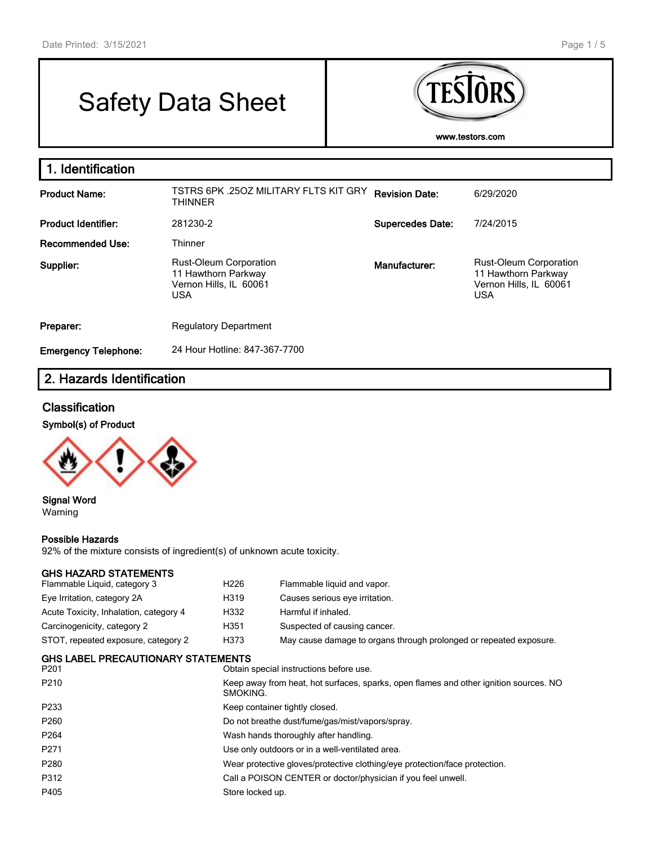г

# Safety Data Sheet



| 1. Identification           |                                                                                       |                         |                                                                                              |
|-----------------------------|---------------------------------------------------------------------------------------|-------------------------|----------------------------------------------------------------------------------------------|
| <b>Product Name:</b>        | TSTRS 6PK .250Z MILITARY FLTS KIT GRY<br><b>THINNER</b>                               | <b>Revision Date:</b>   | 6/29/2020                                                                                    |
| <b>Product Identifier:</b>  | 281230-2                                                                              | <b>Supercedes Date:</b> | 7/24/2015                                                                                    |
| Recommended Use:            | Thinner                                                                               |                         |                                                                                              |
| Supplier:                   | Rust-Oleum Corporation<br>11 Hawthorn Parkway<br>Vernon Hills, IL 60061<br><b>USA</b> | Manufacturer:           | <b>Rust-Oleum Corporation</b><br>11 Hawthorn Parkway<br>Vernon Hills, IL 60061<br><b>USA</b> |
| Preparer:                   | <b>Regulatory Department</b>                                                          |                         |                                                                                              |
| <b>Emergency Telephone:</b> | 24 Hour Hotline: 847-367-7700                                                         |                         |                                                                                              |

# **2. Hazards Identification**

#### **Classification**

## **Symbol(s) of Product**



**Signal Word** Warning

#### **Possible Hazards**

92% of the mixture consists of ingredient(s) of unknown acute toxicity.

#### **GHS HAZARD STATEMENTS**

| 919 11646023161 LIVILIV 19<br>Flammable Liquid, category 3 | H <sub>226</sub> | Flammable liquid and vapor.                                                                       |  |  |  |  |
|------------------------------------------------------------|------------------|---------------------------------------------------------------------------------------------------|--|--|--|--|
| Eye Irritation, category 2A                                | H319             | Causes serious eye irritation.                                                                    |  |  |  |  |
| Acute Toxicity, Inhalation, category 4                     | H332             | Harmful if inhaled.                                                                               |  |  |  |  |
| Carcinogenicity, category 2                                | H351             | Suspected of causing cancer.                                                                      |  |  |  |  |
| STOT, repeated exposure, category 2                        | H373             | May cause damage to organs through prolonged or repeated exposure.                                |  |  |  |  |
| GHS LABEL PRECAUTIONARY STATEMENTS<br>P201                 |                  | Obtain special instructions before use.                                                           |  |  |  |  |
| P210                                                       |                  | Keep away from heat, hot surfaces, sparks, open flames and other ignition sources. NO<br>SMOKING. |  |  |  |  |
| P233                                                       |                  | Keep container tightly closed.                                                                    |  |  |  |  |
| P260                                                       |                  | Do not breathe dust/fume/gas/mist/vapors/spray.                                                   |  |  |  |  |
| P264                                                       |                  | Wash hands thoroughly after handling.                                                             |  |  |  |  |
| P271                                                       |                  | Use only outdoors or in a well-ventilated area.                                                   |  |  |  |  |
| P280                                                       |                  | Wear protective gloves/protective clothing/eye protection/face protection.                        |  |  |  |  |
| P312                                                       |                  | Call a POISON CENTER or doctor/physician if you feel unwell.                                      |  |  |  |  |
| P405                                                       | Store locked up. |                                                                                                   |  |  |  |  |
|                                                            |                  |                                                                                                   |  |  |  |  |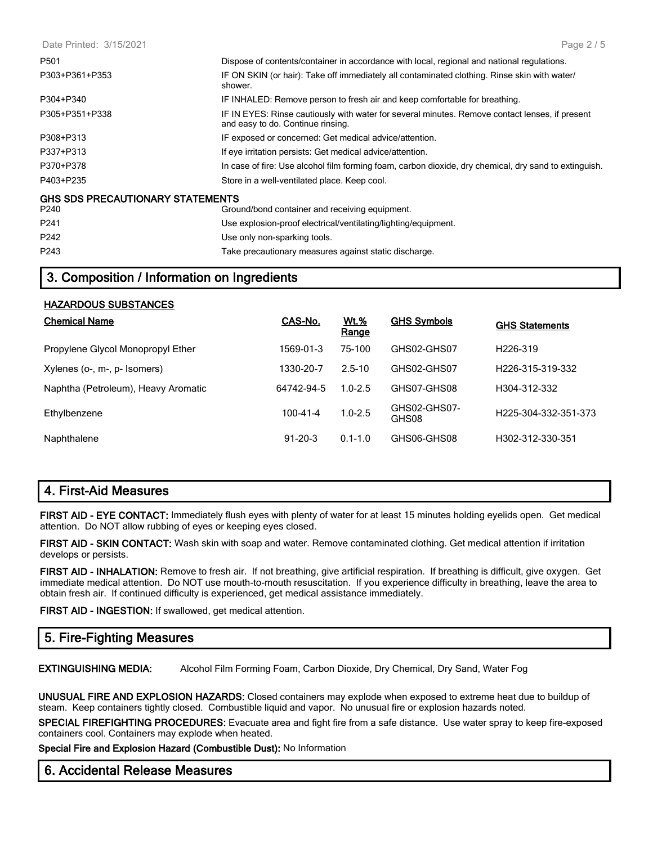| Date Printed: 3/15/2021                 | Page $2/5$                                                                                                                          |
|-----------------------------------------|-------------------------------------------------------------------------------------------------------------------------------------|
| P501                                    | Dispose of contents/container in accordance with local, regional and national regulations.                                          |
| P303+P361+P353                          | IF ON SKIN (or hair): Take off immediately all contaminated clothing. Rinse skin with water/<br>shower.                             |
| P304+P340                               | IF INHALED: Remove person to fresh air and keep comfortable for breathing.                                                          |
| P305+P351+P338                          | IF IN EYES: Rinse cautiously with water for several minutes. Remove contact lenses, if present<br>and easy to do. Continue rinsing. |
| P308+P313                               | IF exposed or concerned: Get medical advice/attention.                                                                              |
| P337+P313                               | If eye irritation persists: Get medical advice/attention.                                                                           |
| P370+P378                               | In case of fire: Use alcohol film forming foam, carbon dioxide, dry chemical, dry sand to extinguish.                               |
| P403+P235                               | Store in a well-ventilated place. Keep cool.                                                                                        |
| <b>GHS SDS PRECAUTIONARY STATEMENTS</b> |                                                                                                                                     |
| P240                                    | Ground/bond container and receiving equipment.                                                                                      |
| P <sub>241</sub>                        | Use explosion-proof electrical/ventilating/lighting/equipment.                                                                      |
| P242                                    | Use only non-sparking tools.                                                                                                        |
| P243                                    | Take precautionary measures against static discharge.                                                                               |

# **3. Composition / Information on Ingredients**

| <b>HAZARDOUS SUBSTANCES</b>         |                |                      |                       |                               |
|-------------------------------------|----------------|----------------------|-----------------------|-------------------------------|
| <b>Chemical Name</b>                | CAS-No.        | <b>Wt.%</b><br>Range | <b>GHS Symbols</b>    | <b>GHS Statements</b>         |
| Propylene Glycol Monopropyl Ether   | 1569-01-3      | 75-100               | GHS02-GHS07           | H <sub>226-319</sub>          |
| Xylenes (o-, m-, p- Isomers)        | 1330-20-7      | $2.5 - 10$           | GHS02-GHS07           | H <sub>226</sub> -315-319-332 |
| Naphtha (Petroleum), Heavy Aromatic | 64742-94-5     | $1.0 - 2.5$          | GHS07-GHS08           | H304-312-332                  |
| Ethylbenzene                        | $100 - 41 - 4$ | $1.0 - 2.5$          | GHS02-GHS07-<br>GHS08 | H225-304-332-351-373          |
| Naphthalene                         | $91 - 20 - 3$  | $0.1 - 1.0$          | GHS06-GHS08           | H302-312-330-351              |

# **4. First-Aid Measures**

**FIRST AID - EYE CONTACT:** Immediately flush eyes with plenty of water for at least 15 minutes holding eyelids open. Get medical attention. Do NOT allow rubbing of eyes or keeping eyes closed.

**FIRST AID - SKIN CONTACT:** Wash skin with soap and water. Remove contaminated clothing. Get medical attention if irritation develops or persists.

**FIRST AID - INHALATION:** Remove to fresh air. If not breathing, give artificial respiration. If breathing is difficult, give oxygen. Get immediate medical attention. Do NOT use mouth-to-mouth resuscitation. If you experience difficulty in breathing, leave the area to obtain fresh air. If continued difficulty is experienced, get medical assistance immediately.

**FIRST AID - INGESTION:** If swallowed, get medical attention.

# **5. Fire-Fighting Measures**

**EXTINGUISHING MEDIA:** Alcohol Film Forming Foam, Carbon Dioxide, Dry Chemical, Dry Sand, Water Fog

**UNUSUAL FIRE AND EXPLOSION HAZARDS:** Closed containers may explode when exposed to extreme heat due to buildup of steam. Keep containers tightly closed. Combustible liquid and vapor. No unusual fire or explosion hazards noted.

**SPECIAL FIREFIGHTING PROCEDURES:** Evacuate area and fight fire from a safe distance. Use water spray to keep fire-exposed containers cool. Containers may explode when heated.

**Special Fire and Explosion Hazard (Combustible Dust):** No Information

#### **6. Accidental Release Measures**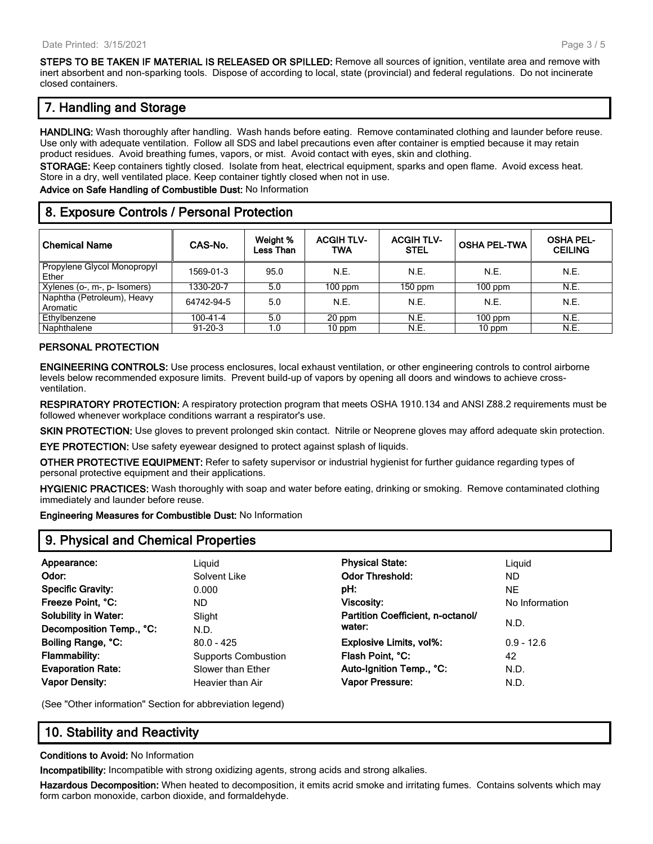**STEPS TO BE TAKEN IF MATERIAL IS RELEASED OR SPILLED:** Remove all sources of ignition, ventilate area and remove with inert absorbent and non-sparking tools. Dispose of according to local, state (provincial) and federal regulations. Do not incinerate closed containers.

# **7. Handling and Storage**

**HANDLING:** Wash thoroughly after handling. Wash hands before eating. Remove contaminated clothing and launder before reuse. Use only with adequate ventilation. Follow all SDS and label precautions even after container is emptied because it may retain product residues. Avoid breathing fumes, vapors, or mist. Avoid contact with eyes, skin and clothing.

**STORAGE:** Keep containers tightly closed. Isolate from heat, electrical equipment, sparks and open flame. Avoid excess heat. Store in a dry, well ventilated place. Keep container tightly closed when not in use.

**Advice on Safe Handling of Combustible Dust:** No Information

## **8. Exposure Controls / Personal Protection**

| <b>Chemical Name</b>                   | CAS-No.       | Weight %<br>Less Than | <b>ACGIH TLV-</b><br>TWA | <b>ACGIH TLV-</b><br><b>STEL</b> | <b>OSHA PEL-TWA</b> | <b>OSHA PEL-</b><br><b>CEILING</b> |
|----------------------------------------|---------------|-----------------------|--------------------------|----------------------------------|---------------------|------------------------------------|
| Propylene Glycol Monopropyl<br>Ether   | 1569-01-3     | 95.0                  | N.E.                     | N.E.                             | N.E.                | N.E.                               |
| Xylenes (o-, m-, p- Isomers)           | 1330-20-7     | 5.0                   | $100$ ppm                | $150$ ppm                        | $100$ ppm           | N.E.                               |
| Naphtha (Petroleum), Heavy<br>Aromatic | 64742-94-5    | 5.0                   | N.E.                     | N.E.                             | N.E.                | N.E.                               |
| Ethylbenzene                           | 100-41-4      | 5.0                   | 20 ppm                   | N.E.                             | $100$ ppm           | N.E.                               |
| Naphthalene                            | $91 - 20 - 3$ | 1.0                   | 10 ppm                   | N.E.                             | 10 ppm              | N.E.                               |

#### **PERSONAL PROTECTION**

**ENGINEERING CONTROLS:** Use process enclosures, local exhaust ventilation, or other engineering controls to control airborne levels below recommended exposure limits. Prevent build-up of vapors by opening all doors and windows to achieve crossventilation.

**RESPIRATORY PROTECTION:** A respiratory protection program that meets OSHA 1910.134 and ANSI Z88.2 requirements must be followed whenever workplace conditions warrant a respirator's use.

**SKIN PROTECTION:** Use gloves to prevent prolonged skin contact. Nitrile or Neoprene gloves may afford adequate skin protection.

**EYE PROTECTION:** Use safety eyewear designed to protect against splash of liquids.

**OTHER PROTECTIVE EQUIPMENT:** Refer to safety supervisor or industrial hygienist for further guidance regarding types of personal protective equipment and their applications.

**HYGIENIC PRACTICES:** Wash thoroughly with soap and water before eating, drinking or smoking. Remove contaminated clothing immediately and launder before reuse.

**Engineering Measures for Combustible Dust:** No Information

#### **9. Physical and Chemical Properties**

| Appearance:                 | Liguid                     | <b>Physical State:</b>            | Liguid         |
|-----------------------------|----------------------------|-----------------------------------|----------------|
| Odor:                       | Solvent Like               | <b>Odor Threshold:</b>            | <b>ND</b>      |
| <b>Specific Gravity:</b>    | 0.000                      | pH:                               | NE.            |
| Freeze Point, °C:           | ND.                        | <b>Viscosity:</b>                 | No Information |
| <b>Solubility in Water:</b> | Slight                     | Partition Coefficient, n-octanol/ |                |
| Decomposition Temp., °C:    | N.D.                       | water:                            | N.D.           |
| Boiling Range, °C:          | $80.0 - 425$               | Explosive Limits, vol%:           | $0.9 - 12.6$   |
| Flammability:               | <b>Supports Combustion</b> | Flash Point, °C:                  | 42             |
| <b>Evaporation Rate:</b>    | Slower than Ether          | Auto-Ignition Temp., °C:          | N.D.           |
| <b>Vapor Density:</b>       | Heavier than Air           | Vapor Pressure:                   | N.D.           |

(See "Other information" Section for abbreviation legend)

# **10. Stability and Reactivity**

#### **Conditions to Avoid:** No Information

**Incompatibility:** Incompatible with strong oxidizing agents, strong acids and strong alkalies.

**Hazardous Decomposition:** When heated to decomposition, it emits acrid smoke and irritating fumes. Contains solvents which may form carbon monoxide, carbon dioxide, and formaldehyde.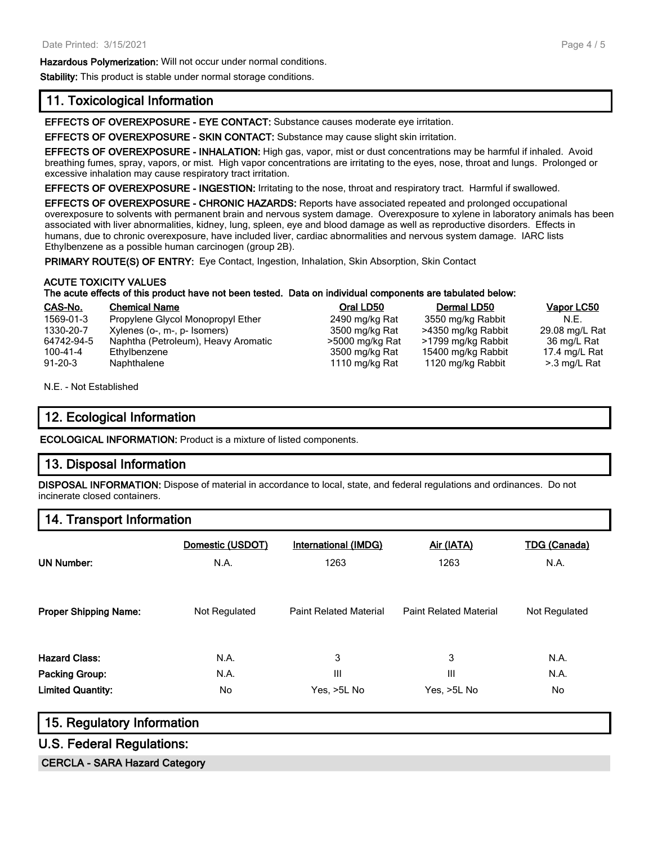#### **Hazardous Polymerization:** Will not occur under normal conditions.

**Stability:** This product is stable under normal storage conditions.

#### **11. Toxicological Information**

**EFFECTS OF OVEREXPOSURE - EYE CONTACT:** Substance causes moderate eye irritation.

**EFFECTS OF OVEREXPOSURE - SKIN CONTACT:** Substance may cause slight skin irritation.

**EFFECTS OF OVEREXPOSURE - INHALATION:** High gas, vapor, mist or dust concentrations may be harmful if inhaled. Avoid breathing fumes, spray, vapors, or mist. High vapor concentrations are irritating to the eyes, nose, throat and lungs. Prolonged or excessive inhalation may cause respiratory tract irritation.

**EFFECTS OF OVEREXPOSURE - INGESTION:** Irritating to the nose, throat and respiratory tract. Harmful if swallowed.

**EFFECTS OF OVEREXPOSURE - CHRONIC HAZARDS:** Reports have associated repeated and prolonged occupational overexposure to solvents with permanent brain and nervous system damage. Overexposure to xylene in laboratory animals has been associated with liver abnormalities, kidney, lung, spleen, eye and blood damage as well as reproductive disorders. Effects in humans, due to chronic overexposure, have included liver, cardiac abnormalities and nervous system damage. IARC lists Ethylbenzene as a possible human carcinogen (group 2B).

PRIMARY ROUTE(S) OF ENTRY: Eye Contact, Ingestion, Inhalation, Skin Absorption, Skin Contact

#### **ACUTE TOXICITY VALUES**

#### **The acute effects of this product have not been tested. Data on individual components are tabulated below:**

| CAS-No.       | <b>Chemical Name</b>                | Oral LD50       | Dermal LD50        | Vapor LC50     |
|---------------|-------------------------------------|-----------------|--------------------|----------------|
| 1569-01-3     | Propylene Glycol Monopropyl Ether   | 2490 mg/kg Rat  | 3550 mg/kg Rabbit  | N.E.           |
| 1330-20-7     | Xylenes (o-, m-, p- Isomers)        | 3500 mg/kg Rat  | >4350 mg/kg Rabbit | 29.08 mg/L Rat |
| 64742-94-5    | Naphtha (Petroleum), Heavy Aromatic | >5000 mg/kg Rat | >1799 mg/kg Rabbit | 36 mg/L Rat    |
| 100-41-4      | Ethylbenzene                        | 3500 mg/kg Rat  | 15400 mg/kg Rabbit | 17.4 mg/L Rat  |
| $91 - 20 - 3$ | Naphthalene                         | 1110 mg/kg Rat  | 1120 mg/kg Rabbit  | >.3 mg/L Rat   |

N.E. - Not Established

#### **12. Ecological Information**

**ECOLOGICAL INFORMATION:** Product is a mixture of listed components.

#### **13. Disposal Information**

**DISPOSAL INFORMATION:** Dispose of material in accordance to local, state, and federal regulations and ordinances. Do not incinerate closed containers.

#### **14. Transport Information**

| <b>UN Number:</b>            | Domestic (USDOT)<br>N.A. | <b>International (IMDG)</b><br>1263 | Air (IATA)<br>1263            | <b>TDG (Canada)</b><br>N.A. |
|------------------------------|--------------------------|-------------------------------------|-------------------------------|-----------------------------|
| <b>Proper Shipping Name:</b> | Not Regulated            | <b>Paint Related Material</b>       | <b>Paint Related Material</b> | Not Regulated               |
| <b>Hazard Class:</b>         | N.A.                     | 3                                   | 3                             | N.A.                        |
| Packing Group:               | N.A.                     | Ш                                   | Ш                             | N.A.                        |
| <b>Limited Quantity:</b>     | No                       | Yes, >5L No                         | Yes, >5L No                   | No.                         |

#### **15. Regulatory Information**

#### **U.S. Federal Regulations:**

**CERCLA - SARA Hazard Category**